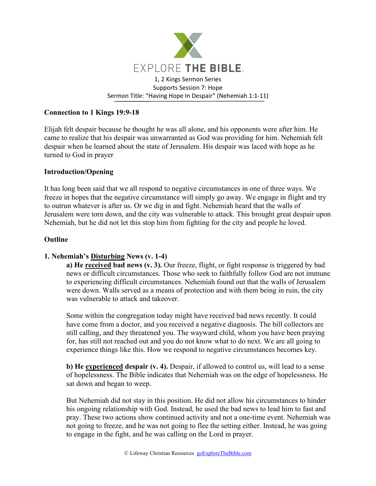

#### **Connection to 1 Kings 19:9-18**

Elijah felt despair because he thought he was all alone, and his opponents were after him. He came to realize that his despair was unwarranted as God was providing for him. Nehemiah felt despair when he learned about the state of Jerusalem. His despair was laced with hope as he turned to God in prayer

#### **Introduction/Opening**

It has long been said that we all respond to negative circumstances in one of three ways. We freeze in hopes that the negative circumstance will simply go away. We engage in flight and try to outrun whatever is after us. Or we dig in and fight. Nehemiah heard that the walls of Jerusalem were torn down, and the city was vulnerable to attack. This brought great despair upon Nehemiah, but he did not let this stop him from fighting for the city and people he loved.

#### **Outline**

# **1. Nehemiah's Disturbing News (v. 1-4)**

**a) He received bad news (v. 3).** Our freeze, flight, or fight response is triggered by bad news or difficult circumstances. Those who seek to faithfully follow God are not immune to experiencing difficult circumstances. Nehemiah found out that the walls of Jerusalem were down. Walls served as a means of protection and with them being in ruin, the city was vulnerable to attack and takeover.

Some within the congregation today might have received bad news recently. It could have come from a doctor, and you received a negative diagnosis. The bill collectors are still calling, and they threatened you. The wayward child, whom you have been praying for, has still not reached out and you do not know what to do next. We are all going to experience things like this. How we respond to negative circumstances becomes key.

**b) He experienced despair (v. 4).** Despair, if allowed to control us, will lead to a sense of hopelessness. The Bible indicates that Nehemiah was on the edge of hopelessness. He sat down and began to weep.

But Nehemiah did not stay in this position. He did not allow his circumstances to hinder his ongoing relationship with God. Instead, he used the bad news to lead him to fast and pray. These two actions show continued activity and not a one-time event. Nehemiah was not going to freeze, and he was not going to flee the setting either. Instead, he was going to engage in the fight, and he was calling on the Lord in prayer.